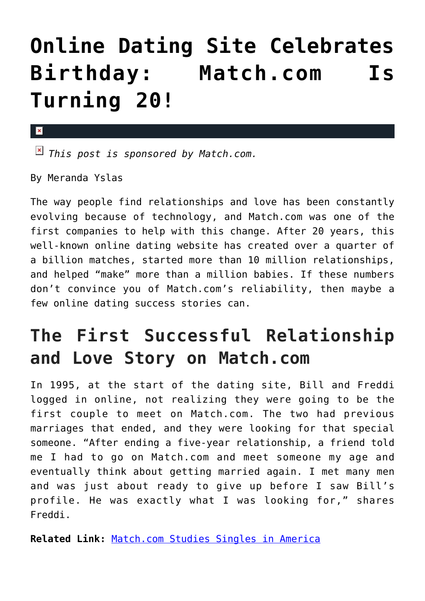## **[Online Dating Site Celebrates](https://cupidspulse.com/92003/online-dating-site-birthday-match-com-is-turning-20/) [Birthday: Match.com Is](https://cupidspulse.com/92003/online-dating-site-birthday-match-com-is-turning-20/) [Turning 20!](https://cupidspulse.com/92003/online-dating-site-birthday-match-com-is-turning-20/)**

*This post is sponsored by Match.com.* 

By Meranda Yslas

 $\mathbf{x}$ 

The way people find relationships and love has been constantly evolving because of technology, and Match.com was one of the first companies to help with this change. After 20 years, this well-known online dating website has created over a quarter of a billion matches, started more than 10 million relationships, and helped "make" more than a million babies. If these numbers don't convince you of Match.com's reliability, then maybe a few online dating success stories can.

## **The First Successful Relationship and Love Story on Match.com**

In 1995, at the start of the dating site, Bill and Freddi logged in online, not realizing they were going to be the first couple to meet on Match.com. The two had previous marriages that ended, and they were looking for that special someone. "After ending a five-year relationship, a friend told me I had to go on Match.com and meet someone my age and eventually think about getting married again. I met many men and was just about ready to give up before I saw Bill's profile. He was exactly what I was looking for," shares Freddi.

**Related Link:** [Match.com Studies Singles in America](http://cupidspulse.com/44836/match-singles-in-america/)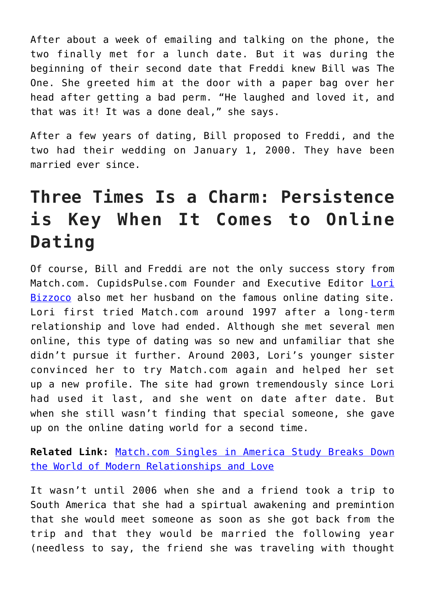After about a week of emailing and talking on the phone, the two finally met for a lunch date. But it was during the beginning of their second date that Freddi knew Bill was The One. She greeted him at the door with a paper bag over her head after getting a bad perm. "He laughed and loved it, and that was it! It was a done deal," she says.

After a few years of dating, Bill proposed to Freddi, and the two had their wedding on January 1, 2000. They have been married ever since.

## **Three Times Is a Charm: Persistence is Key When It Comes to Online Dating**

Of course, Bill and Freddi are not the only success story from Match.com. CupidsPulse.com Founder and Executive Editor [Lori](http://cupidspulse.com/104596/lori-bizzoco/) [Bizzoco](http://cupidspulse.com/104596/lori-bizzoco/) also met her husband on the famous online dating site. Lori first tried Match.com around 1997 after a long-term relationship and love had ended. Although she met several men online, this type of dating was so new and unfamiliar that she didn't pursue it further. Around 2003, Lori's younger sister convinced her to try Match.com again and helped her set up a new profile. The site had grown tremendously since Lori had used it last, and she went on date after date. But when she still wasn't finding that special someone, she gave up on the online dating world for a second time.

**Related Link:** [Match.com Singles in America Study Breaks Down](http://cupidspulse.com/86703/match-com-singles-in-america-study-modern-relationships-and-love/#more-86703) [the World of Modern Relationships and Love](http://cupidspulse.com/86703/match-com-singles-in-america-study-modern-relationships-and-love/#more-86703)

It wasn't until 2006 when she and a friend took a trip to South America that she had a spirtual awakening and premintion that she would meet someone as soon as she got back from the trip and that they would be married the following year (needless to say, the friend she was traveling with thought